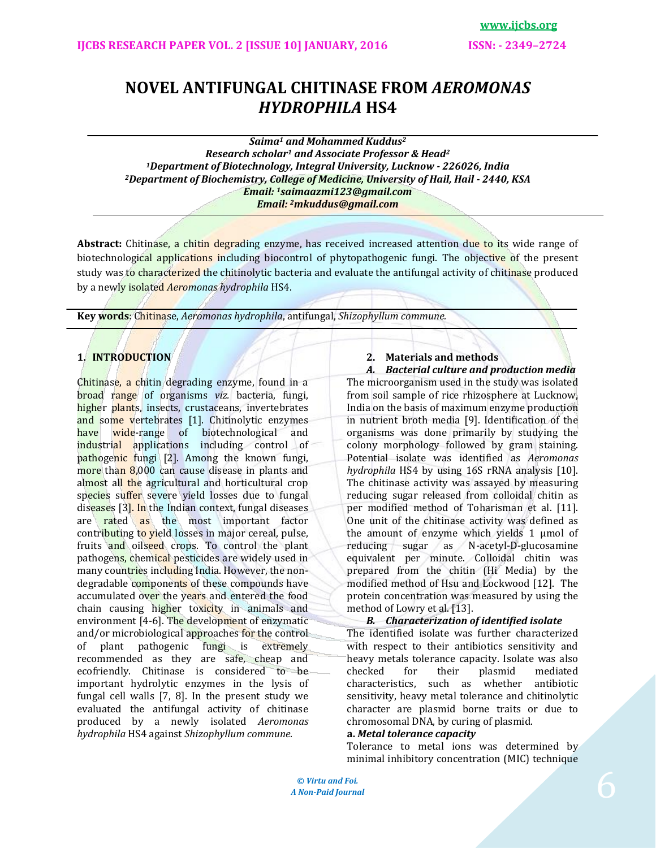**www.ijcbs.org**

# **NOVEL ANTIFUNGAL CHITINASE FROM** *AEROMONAS HYDROPHILA* **HS4**

*Saima<sup>1</sup> and Mohammed Kuddus<sup>2</sup> Research scholar<sup>1</sup> and Associate Professor & Head<sup>2</sup> <sup>1</sup>Department of Biotechnology, Integral University, Lucknow - 226026, India <sup>2</sup>Department of Biochemistry, College of Medicine, University of Hail, Hail - 2440, KSA Email: 1saimaazmi123@gmail.com Email: 2[mkuddus@gmail.com](mailto:mkuddus@gmail.com)*

**Abstract:** Chitinase, a chitin degrading enzyme, has received increased attention due to its wide range of biotechnological applications including biocontrol of phytopathogenic fungi. The objective of the present study was to characterized the chitinolytic bacteria and evaluate the antifungal activity of chitinase produced by a newly isolated *Aeromonas hydrophila* HS4.

**Key words**: Chitinase, *Aeromonas hydrophila*, antifungal, *Shizophyllum commune.*

## **1. INTRODUCTION**

Chitinase, a chitin degrading enzyme, found in a broad range of organisms *viz.* bacteria, fungi, higher plants, insects, crustaceans, invertebrates and some vertebrates [1]. Chitinolytic enzymes have wide-range of biotechnological and industrial applications including control of pathogenic fungi [2]. Among the known fungi, more than 8,000 can cause disease in plants and almost all the agricultural and horticultural crop species suffer severe yield losses due to fungal diseases [3]. In the Indian context, fungal diseases are rated as the most important factor contributing to yield losses in major cereal, pulse, fruits and oilseed crops. To control the plant pathogens, chemical pesticides are widely used in many countries including India. However, the nondegradable components of these compounds have accumulated over the years and entered the food chain causing higher toxicity in animals and environment [4-6]. The development of enzymatic and/or microbiological approaches for the control of plant pathogenic fungi is extremely recommended as they are safe, cheap and ecofriendly. Chitinase is considered to be important hydrolytic enzymes in the lysis of fungal cell walls [7, 8]. In the present study we evaluated the antifungal activity of chitinase produced by a newly isolated *Aeromonas hydrophila* HS4 against *Shizophyllum commune*.

## **2. Materials and methods**

*A. Bacterial culture and production media* The microorganism used in the study was isolated from soil sample of rice rhizosphere at Lucknow, India on the basis of maximum enzyme production in nutrient broth media [9]. Identification of the organisms was done primarily by studying the colony morphology followed by gram staining. Potential isolate was identified as *Aeromonas hydrophila* HS4 by using 16S rRNA analysis [10]. The chitinase activity was assayed by measuring reducing sugar released from colloidal chitin as per modified method of Toharisman et al. [11]. One unit of the chitinase activity was defined as the amount of enzyme which yields 1 μmol of reducing sugar as N-acetyl-D-glucosamine equivalent per minute. Colloidal chitin was prepared from the chitin (Hi Media) by the modified method of Hsu and Lockwood [12]. The protein concentration was measured by using the method of Lowry et al. [13].

## *B. Characterization of identified isolate*

The identified isolate was further characterized with respect to their antibiotics sensitivity and heavy metals tolerance capacity. Isolate was also checked for their plasmid mediated characteristics, such as whether antibiotic sensitivity, heavy metal tolerance and chitinolytic character are plasmid borne traits or due to chromosomal DNA, by curing of plasmid.

## **a.** *Metal tolerance capacity*

Tolerance to metal ions was determined by minimal inhibitory concentration (MIC) technique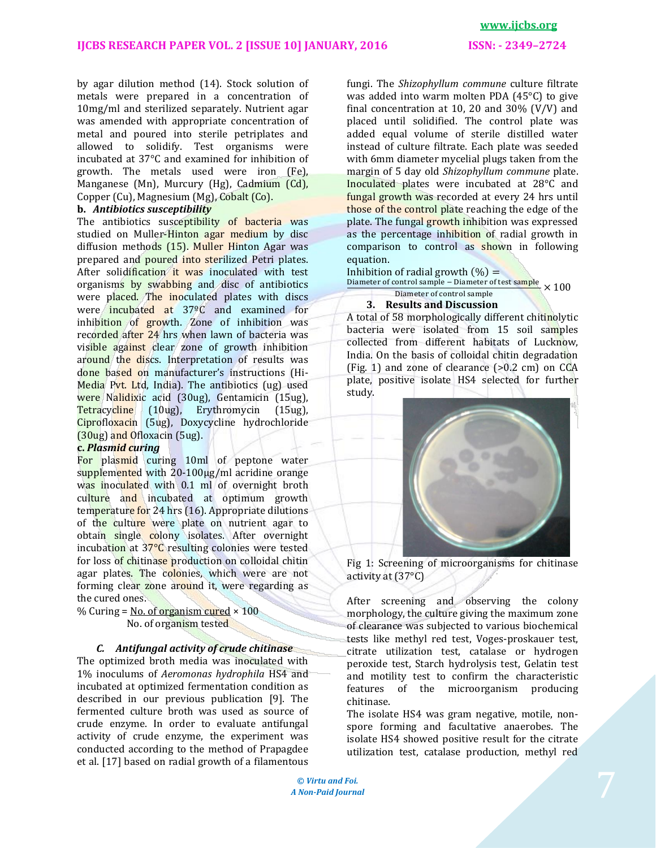## **IJCBS RESEARCH PAPER VOL. 2 [ISSUE 10] JANUARY, 2016 ISSN: - 2349–2724**

## **www.ijcbs.org**

by agar dilution method (14). Stock solution of metals were prepared in a concentration of 10mg/ml and sterilized separately. Nutrient agar was amended with appropriate concentration of metal and poured into sterile petriplates and allowed to solidify. Test organisms were incubated at 37°C and examined for inhibition of growth. The metals used were iron (Fe), Manganese (Mn), Murcury (Hg), Cadmium (Cd), Copper (Cu), Magnesium (Mg), Cobalt (Co).

## **b.** *Antibiotics susceptibility*

The antibiotics susceptibility of bacteria was studied on Muller-Hinton agar medium by disc diffusion methods (15). Muller Hinton Agar was prepared and poured into sterilized Petri plates. After solidification it was inoculated with test organisms by swabbing and disc of antibiotics were placed. The inoculated plates with discs were incubated at 37ºC and examined for inhibition of growth. Zone of inhibition was recorded after 24 hrs when lawn of bacteria was visible against clear zone of growth inhibition around the discs. Interpretation of results was done based on manufacturer's instructions (Hi-Media Pvt. Ltd, India). The antibiotics (ug) used were Nalidixic acid (30ug), Gentamicin (15ug), Tetracycline (10ug), Erythromycin (15ug), Ciprofloxacin (5ug), Doxycycline hydrochloride (30ug) and Ofloxacin (5ug).

## **c.** *Plasmid curing*

For plasmid curing 10ml of peptone water supplemented with 20-100μg/ml acridine orange was inoculated with 0.1 ml of overnight broth culture and incubated at optimum growth temperature for 24 hrs (16). Appropriate dilutions of the culture were plate on nutrient agar to obtain single colony isolates. After overnight incubation at 37°C resulting colonies were tested for loss of chitinase production on colloidal chitin agar plates. The colonies, which were are not forming clear zone around it, were regarding as the cured ones.

% Curing = No. of organism cured  $\times$  100 No. of organism tested

## *C. Antifungal activity of crude chitinase*

The optimized broth media was inoculated with 1% inoculums of *Aeromonas hydrophila* HS4 and incubated at optimized fermentation condition as described in our previous publication [9]. The fermented culture broth was used as source of crude enzyme. In order to evaluate antifungal activity of crude enzyme, the experiment was conducted according to the method of Prapagdee et al. [17] based on radial growth of a filamentous

fungi. The *Shizophyllum commune* culture filtrate was added into warm molten PDA (45°C) to give final concentration at 10, 20 and 30%  $(V/V)$  and placed until solidified. The control plate was added equal volume of sterile distilled water instead of culture filtrate. Each plate was seeded with 6mm diameter mycelial plugs taken from the margin of 5 day old *Shizophyllum commune* plate. Inoculated plates were incubated at 28°C and fungal growth was recorded at every 24 hrs until those of the control plate reaching the edge of the plate. The fungal growth inhibition was expressed as the percentage inhibition of radial growth in comparison to control as shown in following equation.

Inhibition of radial growth  $(\%) =$ 

Diameter of control sample – Diameter of test sample<br>Niemater of control cample. Diameter of control sample

## **3. Results and Discussion**

A total of 58 morphologically different chitinolytic bacteria were isolated from 15 soil samples collected from different habitats of Lucknow, India. On the basis of colloidal chitin degradation (Fig. 1) and zone of clearance (>0.2 cm) on CCA plate, positive isolate HS4 selected for further study.



Fig 1: Screening of microorganisms for chitinase activity at (37°C)

After screening and observing the colony morphology, the culture giving the maximum zone of clearance was subjected to various biochemical tests like methyl red test, Voges-proskauer test, citrate utilization test, catalase or hydrogen peroxide test, Starch hydrolysis test, Gelatin test and motility test to confirm the characteristic features of the microorganism producing chitinase.

The isolate HS4 was gram negative, motile, nonspore forming and facultative anaerobes. The isolate HS4 showed positive result for the citrate utilization test, catalase production, methyl red

**©** *Virtu and Foi. A Non-Paid Journal*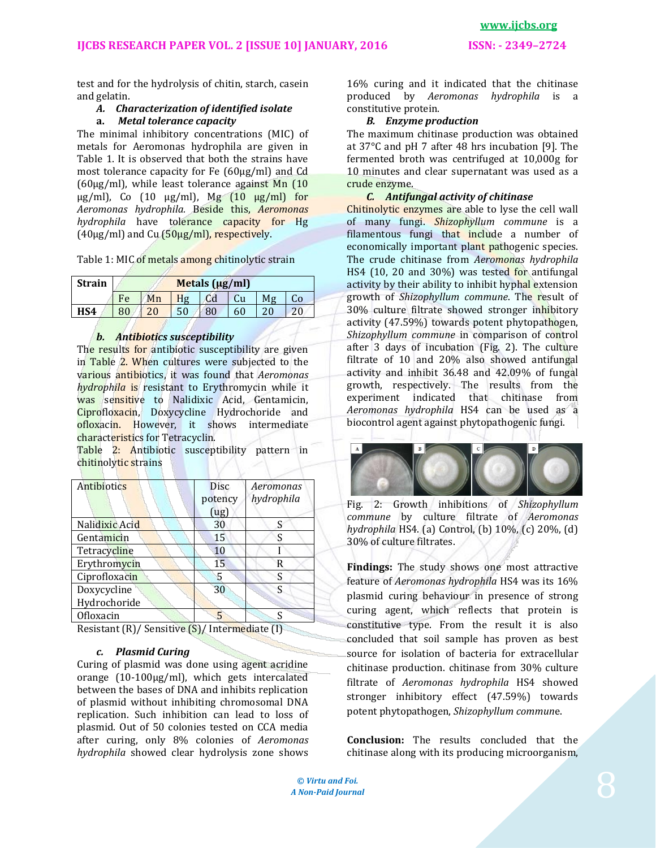test and for the hydrolysis of chitin, starch, casein and gelatin.

#### *A. Characterization of identified isolate* **a.** *Metal tolerance capacity*

The minimal inhibitory concentrations (MIC) of metals for Aeromonas hydrophila are given in Table 1. It is observed that both the strains have most tolerance capacity for Fe (60μg/ml) and Cd (60μg/ml), while least tolerance against Mn (10  $\mu$ g/ml), Co (10  $\mu$ g/ml), Mg (10  $\mu$ g/ml) for *Aeromonas hydrophila.* Beside this, *Aeromonas hydrophila* have tolerance capacity for Hg (40μg/ml) and Cu (50μg/ml), respectively.

Table 1: MIC of metals among chitinolytic strain

| Strain | Metals (µg/ml) |    |    |                |    |    |    |  |
|--------|----------------|----|----|----------------|----|----|----|--|
|        | Fe             | Mn | Hg | C <sub>d</sub> | Cu | Mg | Co |  |
| HS4    | 80             | 20 |    | 80             | 60 |    | 20 |  |

## *b. Antibiotics susceptibility*

The results for antibiotic susceptibility are given in Table 2. When cultures were subjected to the various antibiotics, it was found that *Aeromonas hydrophila* is resistant to Erythromycin while it was sensitive to Nalidixic Acid, Gentamicin, Ciprofloxacin, Doxycycline Hydrochoride and ofloxacin. However, it shows intermediate characteristics for Tetracyclin.

Table 2: Antibiotic susceptibility pattern in chitinolytic strains

| Antibiotics    | <b>Disc</b><br>potency<br>(ug) | Aeromonas<br>hydrophila |
|----------------|--------------------------------|-------------------------|
| Nalidixic Acid | 30                             | S                       |
| Gentamicin     | 15                             | S                       |
| Tetracycline   | 10                             |                         |
| Erythromycin   | 15                             | R                       |
| Ciprofloxacin  | 5                              | S                       |
| Doxycycline    | 30                             | ς                       |
| Hydrochoride   |                                |                         |
| Ofloxacin      | 5                              |                         |

Resistant (R)/ Sensitive (S)/ Intermediate (I)

## *c. Plasmid Curing*

Curing of plasmid was done using agent acridine orange (10-100μg/ml), which gets intercalated between the bases of DNA and inhibits replication of plasmid without inhibiting chromosomal DNA replication. Such inhibition can lead to loss of plasmid. Out of 50 colonies tested on CCA media after curing, only 8% colonies of *Aeromonas hydrophila* showed clear hydrolysis zone shows

16% curing and it indicated that the chitinase produced by *Aeromonas hydrophila* is a constitutive protein.

## *B. Enzyme production*

The maximum chitinase production was obtained at 37°C and pH 7 after 48 hrs incubation [9]. The fermented broth was centrifuged at 10,000g for 10 minutes and clear supernatant was used as a crude enzyme.

## *C. Antifungal activity of chitinase*

Chitinolytic enzymes are able to lyse the cell wall of many fungi. *Shizophyllum commune* is a filamentous fungi that include a number of economically important plant pathogenic species. The crude chitinase from *Aeromonas hydrophila*  HS4 (10, 20 and 30%) was tested for antifungal activity by their ability to inhibit hyphal extension growth of *Shizophyllum commune*. The result of 30% culture filtrate showed stronger inhibitory activity (47.59%) towards potent phytopathogen, *Shizophyllum commune* in comparison of control after 3 days of incubation (Fig. 2). The culture filtrate of 10 and 20% also showed antifungal activity and inhibit 36.48 and 42.09% of fungal growth, respectively. The results from the experiment indicated that chitinase from *Aeromonas hydrophila* HS4 can be used as a biocontrol agent against phytopathogenic fungi.



Fig. 2: Growth inhibitions of *Shizophyllum commune* by culture filtrate of *Aeromonas hydrophila* HS4. (a) Control, (b) 10%, (c) 20%, (d) 30% of culture filtrates.

**Findings:** The study shows one most attractive feature of *Aeromonas hydrophila* HS4 was its 16% plasmid curing behaviour in presence of strong curing agent, which reflects that protein is constitutive type. From the result it is also concluded that soil sample has proven as best source for isolation of bacteria for extracellular chitinase production. chitinase from 30% culture filtrate of *Aeromonas hydrophila* HS4 showed stronger inhibitory effect (47.59%) towards potent phytopathogen, *Shizophyllum commun*e.

**Conclusion:** The results concluded that the chitinase along with its producing microorganism,